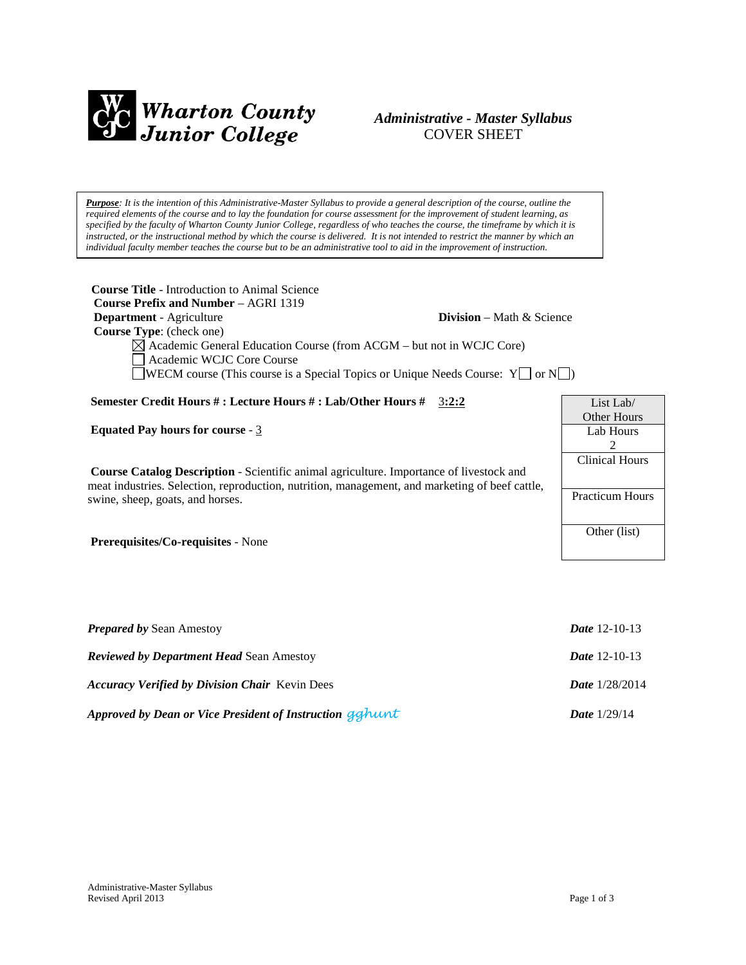

# *Administrative - Master Syllabus*  COVER SHEET

*Purpose: It is the intention of this Administrative-Master Syllabus to provide a general description of the course, outline the required elements of the course and to lay the foundation for course assessment for the improvement of student learning, as specified by the faculty of Wharton County Junior College, regardless of who teaches the course, the timeframe by which it is instructed, or the instructional method by which the course is delivered. It is not intended to restrict the manner by which an individual faculty member teaches the course but to be an administrative tool to aid in the improvement of instruction.*

**Course Title** - Introduction to Animal Science  **Course Prefix and Number** – AGRI 1319 **Department** - Agriculture **Division** – Math & Science  **Course Type**: (check one)  $\boxtimes$  Academic General Education Course (from ACGM – but not in WCJC Core) Academic WCJC Core Course WECM course (This course is a Special Topics or Unique Needs Course:  $Y \Box$  or  $N \Box$ ) **Semester Credit Hours # : Lecture Hours # : Lab/Other Hours #** 3**:2:2 Equated Pay hours for course** - 3 **Course Catalog Description** - Scientific animal agriculture. Importance of livestock and meat industries. Selection, reproduction, nutrition, management, and marketing of beef cattle, swine, sheep, goats, and horses. **Prerequisites/Co-requisites** - None List Lab/ Other Hours Lab Hours  $\mathfrak{D}$ Clinical Hours Practicum Hours Other (list)

| <b>Prepared by Sean Amestoy</b>                          | <i>Date</i> 12-10-13    |
|----------------------------------------------------------|-------------------------|
| <b>Reviewed by Department Head Sean Amestoy</b>          | <i>Date</i> $12-10-13$  |
| <b>Accuracy Verified by Division Chair</b> Kevin Dees    | <i>Date</i> $1/28/2014$ |
| Approved by Dean or Vice President of Instruction gahunt | <b>Date</b> $1/29/14$   |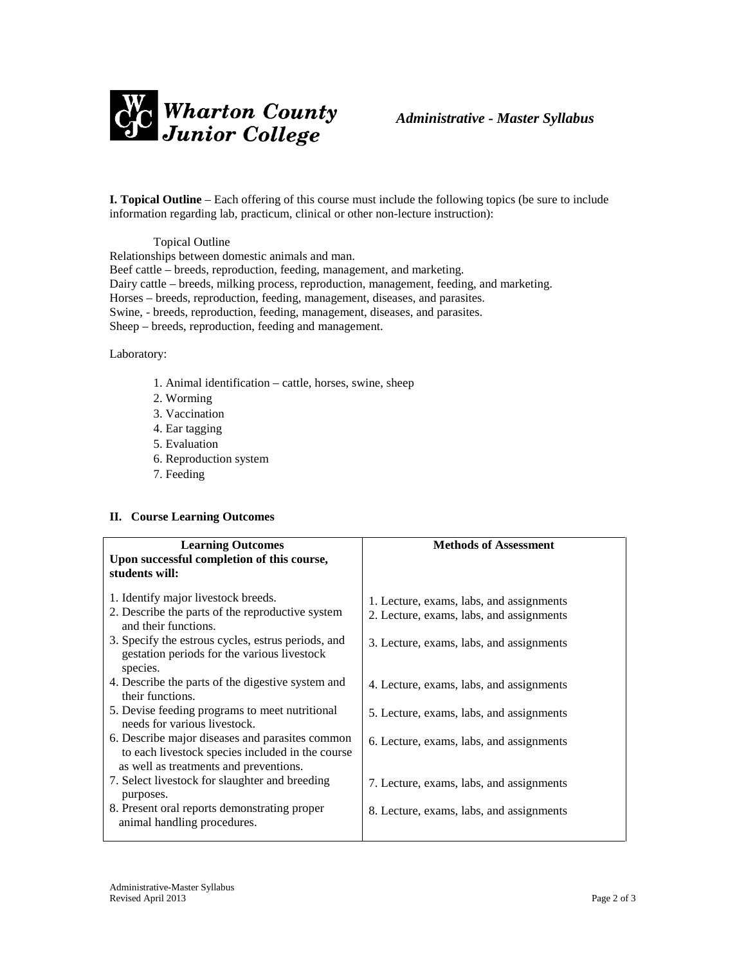

**I. Topical Outline** – Each offering of this course must include the following topics (be sure to include information regarding lab, practicum, clinical or other non-lecture instruction):

Topical Outline Relationships between domestic animals and man. Beef cattle – breeds, reproduction, feeding, management, and marketing. Dairy cattle – breeds, milking process, reproduction, management, feeding, and marketing. Horses – breeds, reproduction, feeding, management, diseases, and parasites. Swine, - breeds, reproduction, feeding, management, diseases, and parasites. Sheep – breeds, reproduction, feeding and management.

Laboratory:

- 1. Animal identification cattle, horses, swine, sheep
- 2. Worming
- 3. Vaccination
- 4. Ear tagging
- 5. Evaluation
- 6. Reproduction system
- 7. Feeding

### **II. Course Learning Outcomes**

| <b>Learning Outcomes</b>                           | <b>Methods of Assessment</b>             |  |
|----------------------------------------------------|------------------------------------------|--|
| Upon successful completion of this course,         |                                          |  |
| students will:                                     |                                          |  |
|                                                    |                                          |  |
|                                                    |                                          |  |
| 1. Identify major livestock breeds.                | 1. Lecture, exams, labs, and assignments |  |
| 2. Describe the parts of the reproductive system   | 2. Lecture, exams, labs, and assignments |  |
| and their functions.                               |                                          |  |
| 3. Specify the estrous cycles, estrus periods, and |                                          |  |
| gestation periods for the various livestock        | 3. Lecture, exams, labs, and assignments |  |
|                                                    |                                          |  |
| species.                                           |                                          |  |
| 4. Describe the parts of the digestive system and  | 4. Lecture, exams, labs, and assignments |  |
| their functions.                                   |                                          |  |
| 5. Devise feeding programs to meet nutritional     |                                          |  |
|                                                    | 5. Lecture, exams, labs, and assignments |  |
| needs for various livestock.                       |                                          |  |
| 6. Describe major diseases and parasites common    | 6. Lecture, exams, labs, and assignments |  |
| to each livestock species included in the course   |                                          |  |
| as well as treatments and preventions.             |                                          |  |
|                                                    |                                          |  |
| 7. Select livestock for slaughter and breeding     | 7. Lecture, exams, labs, and assignments |  |
| purposes.                                          |                                          |  |
| 8. Present oral reports demonstrating proper       | 8. Lecture, exams, labs, and assignments |  |
| animal handling procedures.                        |                                          |  |
|                                                    |                                          |  |